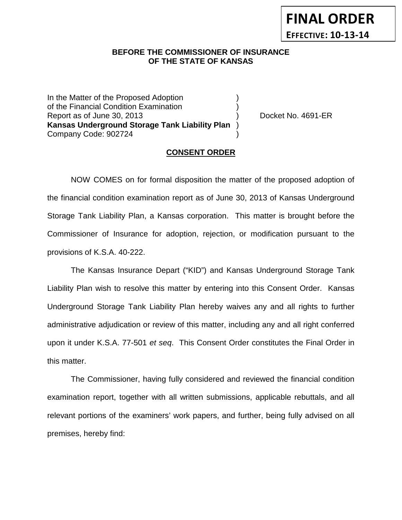## **BEFORE THE COMMISSIONER OF INSURANCE OF THE STATE OF KANSAS**

In the Matter of the Proposed Adoption of the Financial Condition Examination ) Report as of June 30, 2013 (and the contract of the Docket No. 4691-ER **Kansas Underground Storage Tank Liability Plan** ) Company Code: 902724 )

### **CONSENT ORDER**

NOW COMES on for formal disposition the matter of the proposed adoption of the financial condition examination report as of June 30, 2013 of Kansas Underground Storage Tank Liability Plan, a Kansas corporation. This matter is brought before the Commissioner of Insurance for adoption, rejection, or modification pursuant to the provisions of K.S.A. 40-222.

The Kansas Insurance Depart ("KID") and Kansas Underground Storage Tank Liability Plan wish to resolve this matter by entering into this Consent Order. Kansas Underground Storage Tank Liability Plan hereby waives any and all rights to further administrative adjudication or review of this matter, including any and all right conferred upon it under K.S.A. 77-501 *et seq*. This Consent Order constitutes the Final Order in this matter.

The Commissioner, having fully considered and reviewed the financial condition examination report, together with all written submissions, applicable rebuttals, and all relevant portions of the examiners' work papers, and further, being fully advised on all premises, hereby find: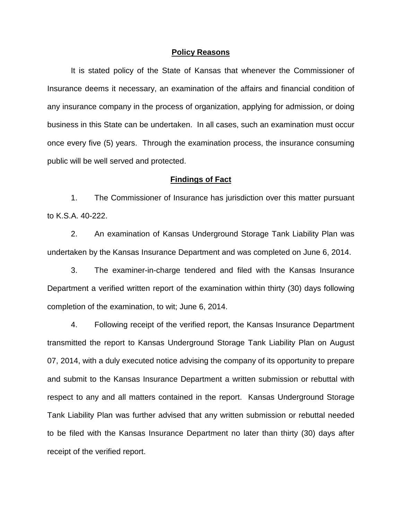#### **Policy Reasons**

It is stated policy of the State of Kansas that whenever the Commissioner of Insurance deems it necessary, an examination of the affairs and financial condition of any insurance company in the process of organization, applying for admission, or doing business in this State can be undertaken. In all cases, such an examination must occur once every five (5) years. Through the examination process, the insurance consuming public will be well served and protected.

#### **Findings of Fact**

1. The Commissioner of Insurance has jurisdiction over this matter pursuant to K.S.A. 40-222.

2. An examination of Kansas Underground Storage Tank Liability Plan was undertaken by the Kansas Insurance Department and was completed on June 6, 2014.

3. The examiner-in-charge tendered and filed with the Kansas Insurance Department a verified written report of the examination within thirty (30) days following completion of the examination, to wit; June 6, 2014.

4. Following receipt of the verified report, the Kansas Insurance Department transmitted the report to Kansas Underground Storage Tank Liability Plan on August 07, 2014, with a duly executed notice advising the company of its opportunity to prepare and submit to the Kansas Insurance Department a written submission or rebuttal with respect to any and all matters contained in the report. Kansas Underground Storage Tank Liability Plan was further advised that any written submission or rebuttal needed to be filed with the Kansas Insurance Department no later than thirty (30) days after receipt of the verified report.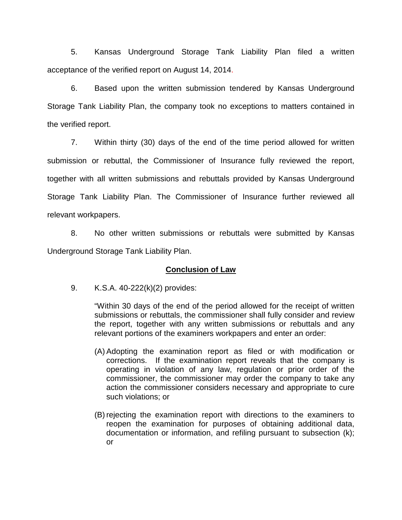5. Kansas Underground Storage Tank Liability Plan filed a written acceptance of the verified report on August 14, 2014.

6. Based upon the written submission tendered by Kansas Underground Storage Tank Liability Plan, the company took no exceptions to matters contained in the verified report.

7. Within thirty (30) days of the end of the time period allowed for written submission or rebuttal, the Commissioner of Insurance fully reviewed the report, together with all written submissions and rebuttals provided by Kansas Underground Storage Tank Liability Plan. The Commissioner of Insurance further reviewed all relevant workpapers.

8. No other written submissions or rebuttals were submitted by Kansas Underground Storage Tank Liability Plan.

## **Conclusion of Law**

9. K.S.A. 40-222(k)(2) provides:

"Within 30 days of the end of the period allowed for the receipt of written submissions or rebuttals, the commissioner shall fully consider and review the report, together with any written submissions or rebuttals and any relevant portions of the examiners workpapers and enter an order:

- (A) Adopting the examination report as filed or with modification or corrections. If the examination report reveals that the company is operating in violation of any law, regulation or prior order of the commissioner, the commissioner may order the company to take any action the commissioner considers necessary and appropriate to cure such violations; or
- (B) rejecting the examination report with directions to the examiners to reopen the examination for purposes of obtaining additional data, documentation or information, and refiling pursuant to subsection (k); or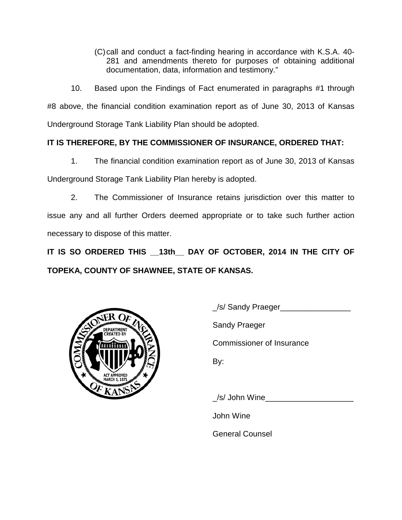(C)call and conduct a fact-finding hearing in accordance with K.S.A. 40- 281 and amendments thereto for purposes of obtaining additional documentation, data, information and testimony."

10. Based upon the Findings of Fact enumerated in paragraphs #1 through #8 above, the financial condition examination report as of June 30, 2013 of Kansas Underground Storage Tank Liability Plan should be adopted.

# **IT IS THEREFORE, BY THE COMMISSIONER OF INSURANCE, ORDERED THAT:**

1. The financial condition examination report as of June 30, 2013 of Kansas Underground Storage Tank Liability Plan hereby is adopted.

2. The Commissioner of Insurance retains jurisdiction over this matter to issue any and all further Orders deemed appropriate or to take such further action necessary to dispose of this matter.

**IT IS SO ORDERED THIS \_\_13th\_\_ DAY OF OCTOBER, 2014 IN THE CITY OF TOPEKA, COUNTY OF SHAWNEE, STATE OF KANSAS.**



/s/ Sandy Praeger

Sandy Praeger

Commissioner of Insurance

By:

/s/ John Wine

John Wine

General Counsel